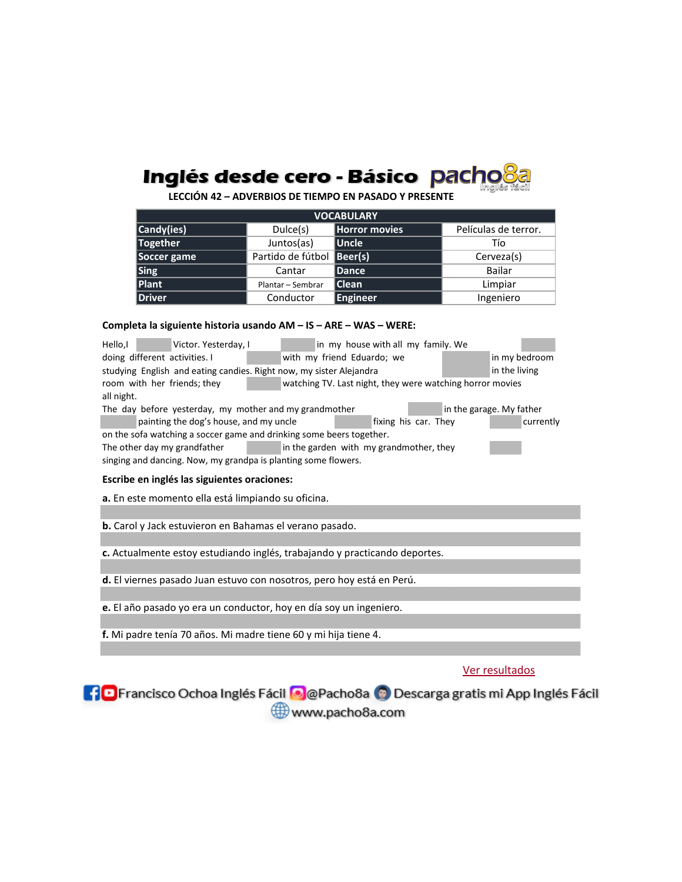

**LECCIÓN 42 – ADVERBIOS DE TIEMPO EN PASADO Y PRESENTE**

| <b>VOCABULARY</b> |                           |               |                      |  |
|-------------------|---------------------------|---------------|----------------------|--|
| Candy(ies)        | Dulce(s)                  | Horror movies | Películas de terror. |  |
| Together          | Juntos(as)                | <b>Uncle</b>  | Tío                  |  |
| Soccer game       | Partido de fútbol Beer(s) |               | Cerveza(s)           |  |
| Sing              | Cantar                    | <b>Dance</b>  | Bailar               |  |
| Plant             | Plantar - Sembrar         | Clean         | Limpiar              |  |
| Driver            | Conductor                 | Engineer      | Ingeniero            |  |

## **Completa la siguiente historia usando AM – IS – ARE – WAS – WERE:**

| Hello,I<br>Victor. Yesterday, I<br>in my house with all my family. We                    |  |  |  |  |  |
|------------------------------------------------------------------------------------------|--|--|--|--|--|
| with my friend Eduardo; we<br>in my bedroom<br>doing different activities. I             |  |  |  |  |  |
| in the living<br>studying English and eating candies. Right now, my sister Alejandra     |  |  |  |  |  |
| room with her friends; they<br>watching TV. Last night, they were watching horror movies |  |  |  |  |  |
| all night.                                                                               |  |  |  |  |  |
| The day before yesterday, my mother and my grandmother<br>in the garage. My father       |  |  |  |  |  |
| painting the dog's house, and my uncle<br>fixing his car. They<br>currently              |  |  |  |  |  |
| on the sofa watching a soccer game and drinking some beers together.                     |  |  |  |  |  |
| The other day my grandfather<br>in the garden with my grandmother, they                  |  |  |  |  |  |
| singing and dancing. Now, my grandpa is planting some flowers.                           |  |  |  |  |  |
| Escribe en inglés las siguientes oraciones:                                              |  |  |  |  |  |
|                                                                                          |  |  |  |  |  |
| a. En este momento ella está limpiando su oficina.                                       |  |  |  |  |  |
|                                                                                          |  |  |  |  |  |
| <b>b.</b> Carol y Jack estuvieron en Bahamas el verano pasado.                           |  |  |  |  |  |
|                                                                                          |  |  |  |  |  |
| c. Actualmente estoy estudiando inglés, trabajando y practicando deportes.               |  |  |  |  |  |
|                                                                                          |  |  |  |  |  |
| d. El viernes pasado Juan estuvo con nosotros, pero hoy está en Perú.                    |  |  |  |  |  |
|                                                                                          |  |  |  |  |  |
| e. El año pasado yo era un conductor, hoy en día soy un ingeniero.                       |  |  |  |  |  |
|                                                                                          |  |  |  |  |  |
| f. Mi padre tenía 70 años. Mi madre tiene 60 y mi hija tiene 4.                          |  |  |  |  |  |
|                                                                                          |  |  |  |  |  |
|                                                                                          |  |  |  |  |  |
| Ver resultados                                                                           |  |  |  |  |  |

## Ver resultados

**[10** Francisco Ochoa Inglés Fácil **[8** @ Pacho8a **(9** Descarga gratis mi App Inglés Fácil www.pacho8a.com